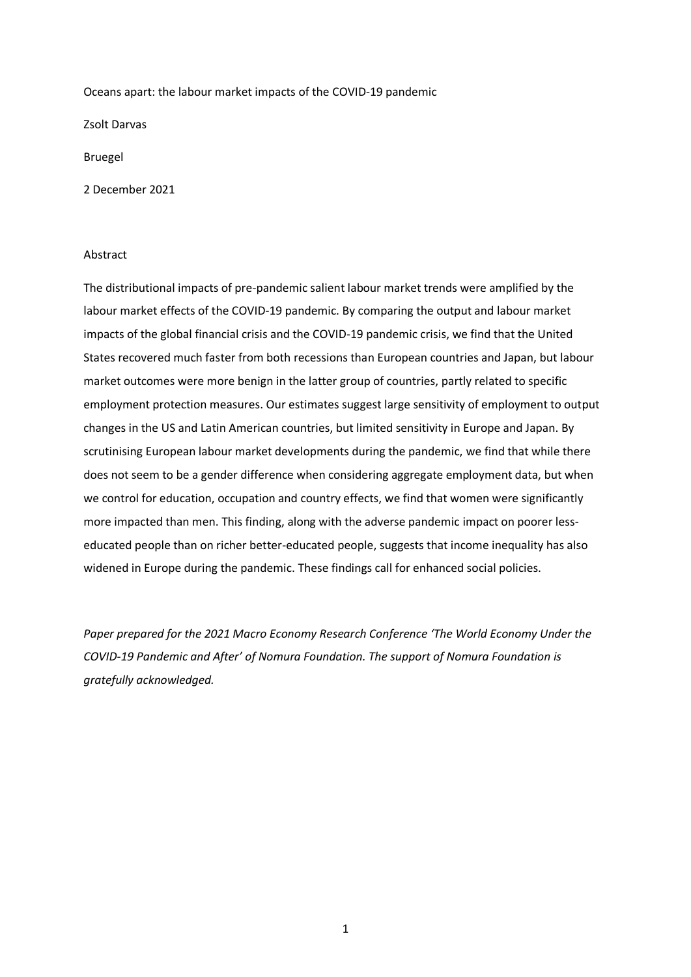Oceans apart: the labour market impacts of the COVID-19 pandemic

Zsolt Darvas

Bruegel

2 December 2021

#### Abstract

The distributional impacts of pre-pandemic salient labour market trends were amplified by the labour market effects of the COVID-19 pandemic. By comparing the output and labour market impacts of the global financial crisis and the COVID-19 pandemic crisis, we find that the United States recovered much faster from both recessions than European countries and Japan, but labour market outcomes were more benign in the latter group of countries, partly related to specific employment protection measures. Our estimates suggest large sensitivity of employment to output changes in the US and Latin American countries, but limited sensitivity in Europe and Japan. By scrutinising European labour market developments during the pandemic, we find that while there does not seem to be a gender difference when considering aggregate employment data, but when we control for education, occupation and country effects, we find that women were significantly more impacted than men. This finding, along with the adverse pandemic impact on poorer lesseducated people than on richer better-educated people, suggests that income inequality has also widened in Europe during the pandemic. These findings call for enhanced social policies.

*Paper prepared for the 2021 Macro Economy Research Conference 'The World Economy Under the COVID-19 Pandemic and After' of Nomura Foundation. The support of Nomura Foundation is gratefully acknowledged.*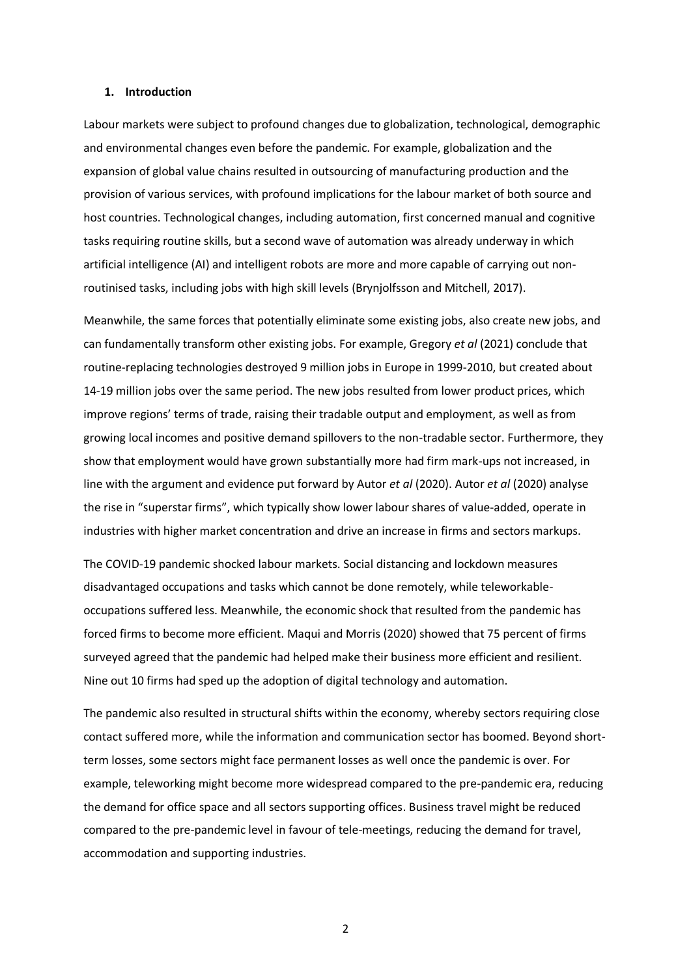#### **1. Introduction**

Labour markets were subject to profound changes due to globalization, technological, demographic and environmental changes even before the pandemic. For example, globalization and the expansion of global value chains resulted in outsourcing of manufacturing production and the provision of various services, with profound implications for the labour market of both source and host countries. Technological changes, including automation, first concerned manual and cognitive tasks requiring routine skills, but a second wave of automation was already underway in which artificial intelligence (AI) and intelligent robots are more and more capable of carrying out nonroutinised tasks, including jobs with high skill levels (Brynjolfsson and Mitchell, 2017).

Meanwhile, the same forces that potentially eliminate some existing jobs, also create new jobs, and can fundamentally transform other existing jobs. For example, Gregory *et al* (2021) conclude that routine-replacing technologies destroyed 9 million jobs in Europe in 1999-2010, but created about 14-19 million jobs over the same period. The new jobs resulted from lower product prices, which improve regions' terms of trade, raising their tradable output and employment, as well as from growing local incomes and positive demand spillovers to the non-tradable sector. Furthermore, they show that employment would have grown substantially more had firm mark-ups not increased, in line with the argument and evidence put forward by Autor *et al* (2020). Autor *et al* (2020) analyse the rise in "superstar firms", which typically show lower labour shares of value-added, operate in industries with higher market concentration and drive an increase in firms and sectors markups.

The COVID-19 pandemic shocked labour markets. Social distancing and lockdown measures disadvantaged occupations and tasks which cannot be done remotely, while teleworkableoccupations suffered less. Meanwhile, the economic shock that resulted from the pandemic has forced firms to become more efficient. Maqui and Morris (2020) showed that 75 percent of firms surveyed agreed that the pandemic had helped make their business more efficient and resilient. Nine out 10 firms had sped up the adoption of digital technology and automation.

The pandemic also resulted in structural shifts within the economy, whereby sectors requiring close contact suffered more, while the information and communication sector has boomed. Beyond shortterm losses, some sectors might face permanent losses as well once the pandemic is over. For example, teleworking might become more widespread compared to the pre-pandemic era, reducing the demand for office space and all sectors supporting offices. Business travel might be reduced compared to the pre-pandemic level in favour of tele-meetings, reducing the demand for travel, accommodation and supporting industries.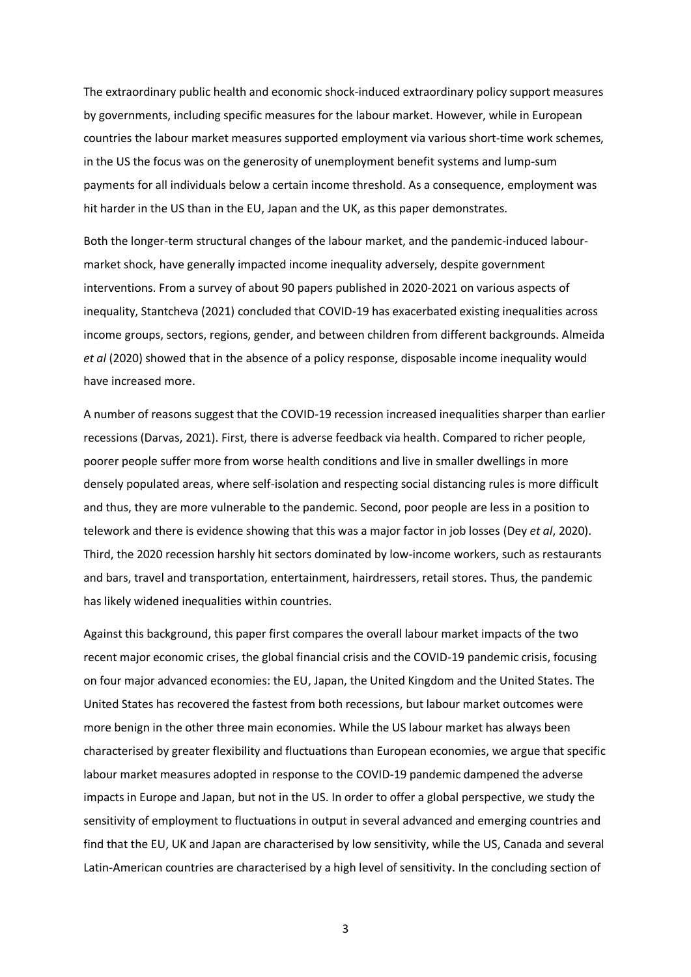The extraordinary public health and economic shock-induced extraordinary policy support measures by governments, including specific measures for the labour market. However, while in European countries the labour market measures supported employment via various short-time work schemes, in the US the focus was on the generosity of unemployment benefit systems and lump-sum payments for all individuals below a certain income threshold. As a consequence, employment was hit harder in the US than in the EU, Japan and the UK, as this paper demonstrates.

Both the longer-term structural changes of the labour market, and the pandemic-induced labourmarket shock, have generally impacted income inequality adversely, despite government interventions. From a survey of about 90 papers published in 2020-2021 on various aspects of inequality, Stantcheva (2021) concluded that COVID-19 has exacerbated existing inequalities across income groups, sectors, regions, gender, and between children from different backgrounds. Almeida *et al* (2020) showed that in the absence of a policy response, disposable income inequality would have increased more.

A number of reasons suggest that the COVID-19 recession increased inequalities sharper than earlier recessions (Darvas, 2021). First, there is adverse feedback via health. Compared to richer people, poorer people suffer more from worse health conditions and live in smaller dwellings in more densely populated areas, where self-isolation and respecting social distancing rules is more difficult and thus, they are more vulnerable to the pandemic. Second, poor people are less in a position to telework and there is evidence showing that this was a major factor in job losses (Dey *et al*, 2020). Third, the 2020 recession harshly hit sectors dominated by low-income workers, such as restaurants and bars, travel and transportation, entertainment, hairdressers, retail stores. Thus, the pandemic has likely widened inequalities within countries.

Against this background, this paper first compares the overall labour market impacts of the two recent major economic crises, the global financial crisis and the COVID-19 pandemic crisis, focusing on four major advanced economies: the EU, Japan, the United Kingdom and the United States. The United States has recovered the fastest from both recessions, but labour market outcomes were more benign in the other three main economies. While the US labour market has always been characterised by greater flexibility and fluctuations than European economies, we argue that specific labour market measures adopted in response to the COVID-19 pandemic dampened the adverse impacts in Europe and Japan, but not in the US. In order to offer a global perspective, we study the sensitivity of employment to fluctuations in output in several advanced and emerging countries and find that the EU, UK and Japan are characterised by low sensitivity, while the US, Canada and several Latin-American countries are characterised by a high level of sensitivity. In the concluding section of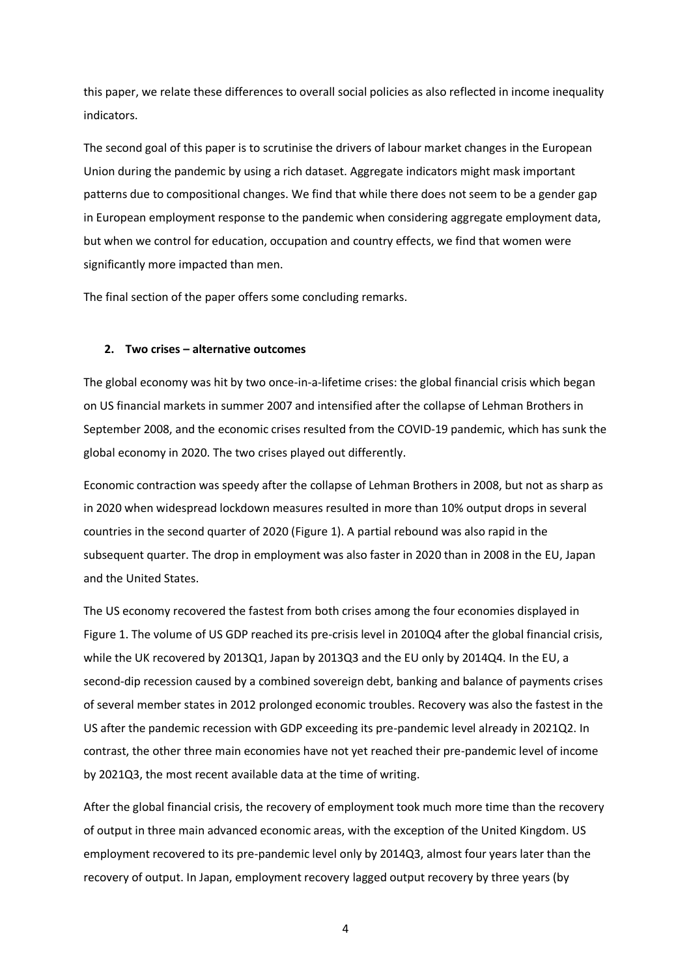this paper, we relate these differences to overall social policies as also reflected in income inequality indicators.

The second goal of this paper is to scrutinise the drivers of labour market changes in the European Union during the pandemic by using a rich dataset. Aggregate indicators might mask important patterns due to compositional changes. We find that while there does not seem to be a gender gap in European employment response to the pandemic when considering aggregate employment data, but when we control for education, occupation and country effects, we find that women were significantly more impacted than men.

The final section of the paper offers some concluding remarks.

## **2. Two crises – alternative outcomes**

The global economy was hit by two once-in-a-lifetime crises: the global financial crisis which began on US financial markets in summer 2007 and intensified after the collapse of Lehman Brothers in September 2008, and the economic crises resulted from the COVID-19 pandemic, which has sunk the global economy in 2020. The two crises played out differently.

Economic contraction was speedy after the collapse of Lehman Brothers in 2008, but not as sharp as in 2020 when widespread lockdown measures resulted in more than 10% output drops in several countries in the second quarter of 2020 [\(Figure 1\)](#page-4-0). A partial rebound was also rapid in the subsequent quarter. The drop in employment was also faster in 2020 than in 2008 in the EU, Japan and the United States.

The US economy recovered the fastest from both crises among the four economies displayed in [Figure 1.](#page-4-0) The volume of US GDP reached its pre-crisis level in 2010Q4 after the global financial crisis, while the UK recovered by 2013Q1, Japan by 2013Q3 and the EU only by 2014Q4. In the EU, a second-dip recession caused by a combined sovereign debt, banking and balance of payments crises of several member states in 2012 prolonged economic troubles. Recovery was also the fastest in the US after the pandemic recession with GDP exceeding its pre-pandemic level already in 2021Q2. In contrast, the other three main economies have not yet reached their pre-pandemic level of income by 2021Q3, the most recent available data at the time of writing.

After the global financial crisis, the recovery of employment took much more time than the recovery of output in three main advanced economic areas, with the exception of the United Kingdom. US employment recovered to its pre-pandemic level only by 2014Q3, almost four years later than the recovery of output. In Japan, employment recovery lagged output recovery by three years (by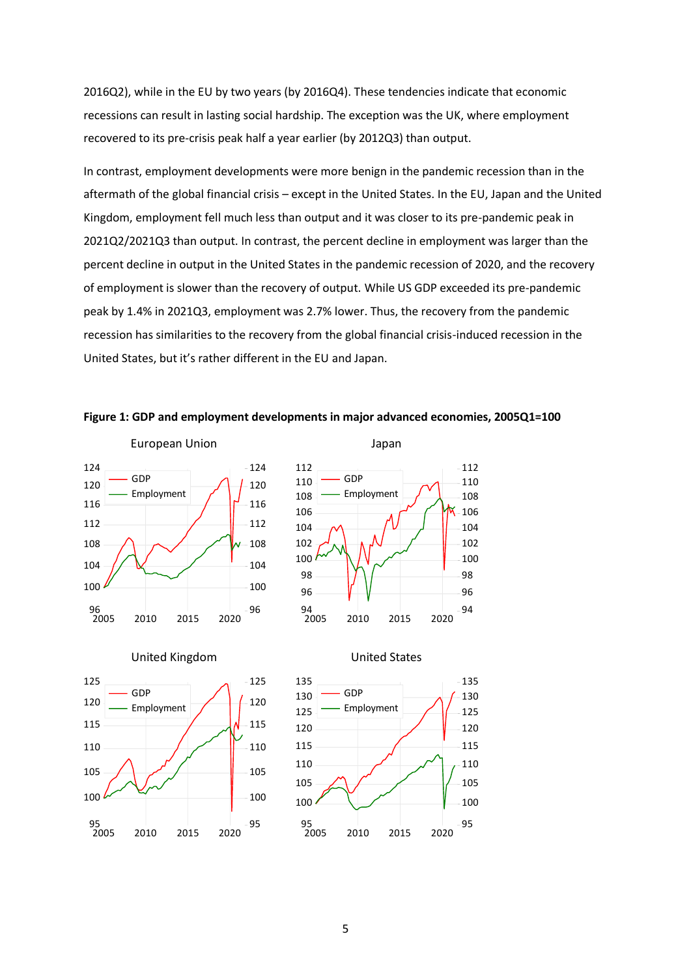2016Q2), while in the EU by two years (by 2016Q4). These tendencies indicate that economic recessions can result in lasting social hardship. The exception was the UK, where employment recovered to its pre-crisis peak half a year earlier (by 2012Q3) than output.

In contrast, employment developments were more benign in the pandemic recession than in the aftermath of the global financial crisis – except in the United States. In the EU, Japan and the United Kingdom, employment fell much less than output and it was closer to its pre-pandemic peak in 2021Q2/2021Q3 than output. In contrast, the percent decline in employment was larger than the percent decline in output in the United States in the pandemic recession of 2020, and the recovery of employment is slower than the recovery of output. While US GDP exceeded its pre-pandemic peak by 1.4% in 2021Q3, employment was 2.7% lower. Thus, the recovery from the pandemic recession has similarities to the recovery from the global financial crisis-induced recession in the United States, but it's rather different in the EU and Japan.













# <span id="page-4-0"></span>**Figure 1: GDP and employment developments in major advanced economies, 2005Q1=100**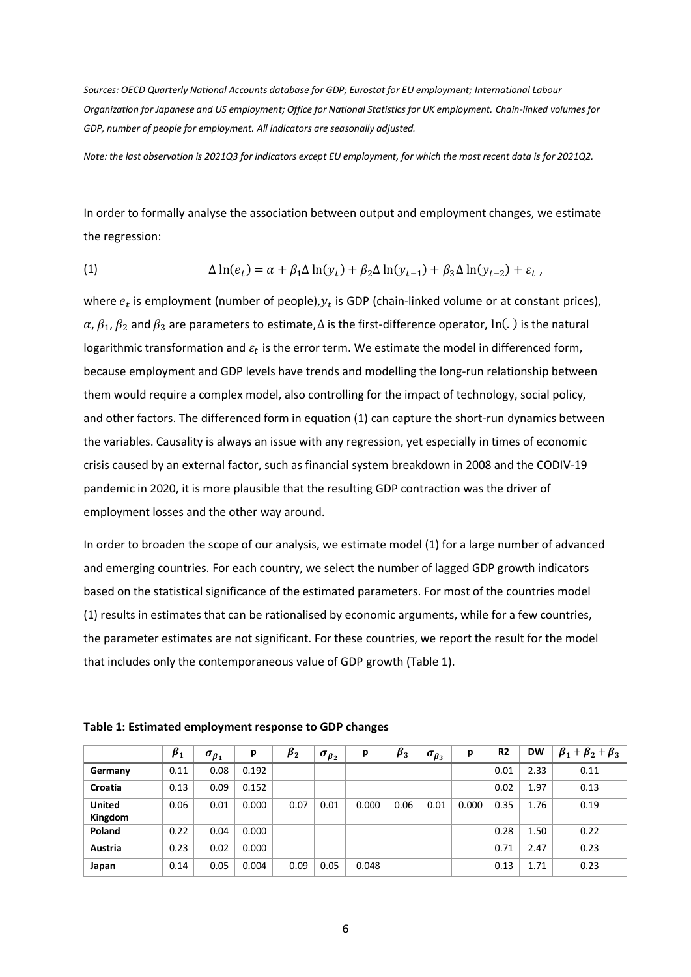*Sources: OECD Quarterly National Accounts database for GDP; Eurostat for EU employment; International Labour Organization for Japanese and US employment; Office for National Statistics for UK employment. Chain-linked volumes for GDP, number of people for employment. All indicators are seasonally adjusted.*

*Note: the last observation is 2021Q3 for indicators except EU employment, for which the most recent data is for 2021Q2.*

In order to formally analyse the association between output and employment changes, we estimate the regression:

(1) 
$$
\Delta \ln(e_t) = \alpha + \beta_1 \Delta \ln(y_t) + \beta_2 \Delta \ln(y_{t-1}) + \beta_3 \Delta \ln(y_{t-2}) + \varepsilon_t,
$$

where  $e_t$  is employment (number of people), $y_t$  is GDP (chain-linked volume or at constant prices),  $\alpha$ ,  $\beta_1$ ,  $\beta_2$  and  $\beta_3$  are parameters to estimate, $\Delta$  is the first-difference operator, ln(.) is the natural logarithmic transformation and  $\varepsilon_t$  is the error term. We estimate the model in differenced form, because employment and GDP levels have trends and modelling the long-run relationship between them would require a complex model, also controlling for the impact of technology, social policy, and other factors. The differenced form in equation (1) can capture the short-run dynamics between the variables. Causality is always an issue with any regression, yet especially in times of economic crisis caused by an external factor, such as financial system breakdown in 2008 and the CODIV-19 pandemic in 2020, it is more plausible that the resulting GDP contraction was the driver of employment losses and the other way around.

In order to broaden the scope of our analysis, we estimate model (1) for a large number of advanced and emerging countries. For each country, we select the number of lagged GDP growth indicators based on the statistical significance of the estimated parameters. For most of the countries model (1) results in estimates that can be rationalised by economic arguments, while for a few countries, the parameter estimates are not significant. For these countries, we report the result for the model that includes only the contemporaneous value of GDP growth (Table 1).

|                          | $\beta_1$ | $\sigma_{\beta_1}$ | р     | $\beta_2$ | $\sigma_{\beta_2}$ | p     | $\beta_3$ | $\sigma_{\beta_3}$ | р     | R <sub>2</sub> | <b>DW</b> | $\beta_1+\beta_2+\beta_3$ |
|--------------------------|-----------|--------------------|-------|-----------|--------------------|-------|-----------|--------------------|-------|----------------|-----------|---------------------------|
| Germany                  | 0.11      | 0.08               | 0.192 |           |                    |       |           |                    |       | 0.01           | 2.33      | 0.11                      |
| Croatia                  | 0.13      | 0.09               | 0.152 |           |                    |       |           |                    |       | 0.02           | 1.97      | 0.13                      |
| <b>United</b><br>Kingdom | 0.06      | 0.01               | 0.000 | 0.07      | 0.01               | 0.000 | 0.06      | 0.01               | 0.000 | 0.35           | 1.76      | 0.19                      |
| Poland                   | 0.22      | 0.04               | 0.000 |           |                    |       |           |                    |       | 0.28           | 1.50      | 0.22                      |
| Austria                  | 0.23      | 0.02               | 0.000 |           |                    |       |           |                    |       | 0.71           | 2.47      | 0.23                      |
| Japan                    | 0.14      | 0.05               | 0.004 | 0.09      | 0.05               | 0.048 |           |                    |       | 0.13           | 1.71      | 0.23                      |

**Table 1: Estimated employment response to GDP changes**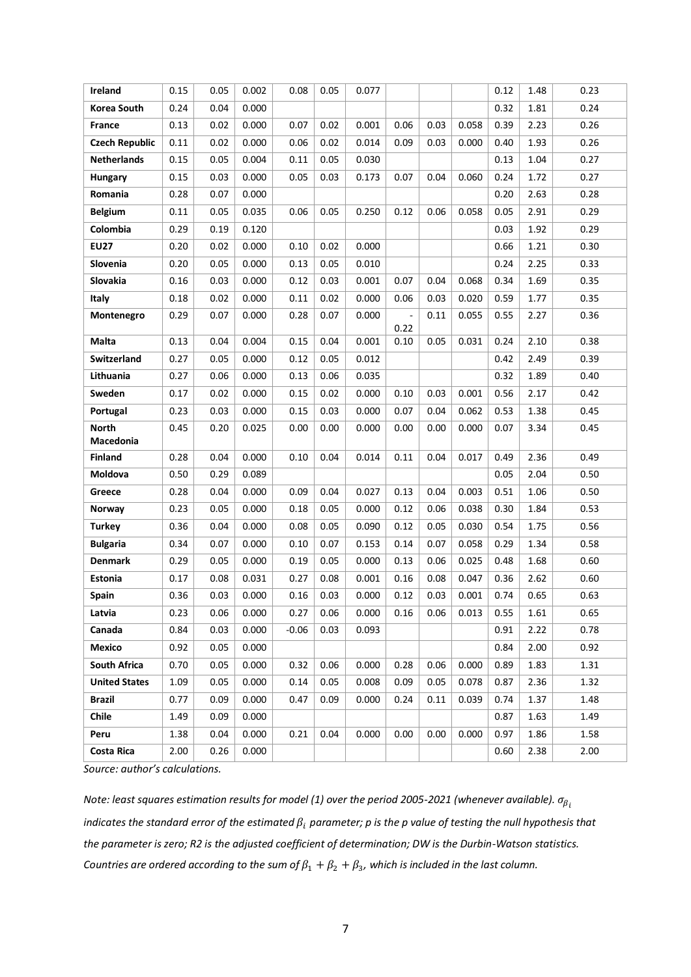| Ireland                   | 0.15 | 0.05 | 0.002 | 0.08    | 0.05 | 0.077 |                |      |       | 0.12 | 1.48 | 0.23 |
|---------------------------|------|------|-------|---------|------|-------|----------------|------|-------|------|------|------|
| Korea South               | 0.24 | 0.04 | 0.000 |         |      |       |                |      |       | 0.32 | 1.81 | 0.24 |
| France                    | 0.13 | 0.02 | 0.000 | 0.07    | 0.02 | 0.001 | 0.06           | 0.03 | 0.058 | 0.39 | 2.23 | 0.26 |
| <b>Czech Republic</b>     | 0.11 | 0.02 | 0.000 | 0.06    | 0.02 | 0.014 | 0.09           | 0.03 | 0.000 | 0.40 | 1.93 | 0.26 |
| <b>Netherlands</b>        | 0.15 | 0.05 | 0.004 | 0.11    | 0.05 | 0.030 |                |      |       | 0.13 | 1.04 | 0.27 |
| Hungary                   | 0.15 | 0.03 | 0.000 | 0.05    | 0.03 | 0.173 | 0.07           | 0.04 | 0.060 | 0.24 | 1.72 | 0.27 |
| Romania                   | 0.28 | 0.07 | 0.000 |         |      |       |                |      |       | 0.20 | 2.63 | 0.28 |
| <b>Belgium</b>            | 0.11 | 0.05 | 0.035 | 0.06    | 0.05 | 0.250 | 0.12           | 0.06 | 0.058 | 0.05 | 2.91 | 0.29 |
| Colombia                  | 0.29 | 0.19 | 0.120 |         |      |       |                |      |       | 0.03 | 1.92 | 0.29 |
| <b>EU27</b>               | 0.20 | 0.02 | 0.000 | 0.10    | 0.02 | 0.000 |                |      |       | 0.66 | 1.21 | 0.30 |
| Slovenia                  | 0.20 | 0.05 | 0.000 | 0.13    | 0.05 | 0.010 |                |      |       | 0.24 | 2.25 | 0.33 |
| Slovakia                  | 0.16 | 0.03 | 0.000 | 0.12    | 0.03 | 0.001 | 0.07           | 0.04 | 0.068 | 0.34 | 1.69 | 0.35 |
| Italy                     | 0.18 | 0.02 | 0.000 | 0.11    | 0.02 | 0.000 | 0.06           | 0.03 | 0.020 | 0.59 | 1.77 | 0.35 |
| Montenegro                | 0.29 | 0.07 | 0.000 | 0.28    | 0.07 | 0.000 | $\overline{a}$ | 0.11 | 0.055 | 0.55 | 2.27 | 0.36 |
| Malta                     | 0.13 | 0.04 | 0.004 | 0.15    | 0.04 | 0.001 | 0.22<br>0.10   | 0.05 | 0.031 | 0.24 | 2.10 | 0.38 |
| Switzerland               | 0.27 | 0.05 | 0.000 |         | 0.05 |       |                |      |       | 0.42 |      | 0.39 |
|                           |      |      |       | 0.12    |      | 0.012 |                |      |       |      | 2.49 |      |
| Lithuania                 | 0.27 | 0.06 | 0.000 | 0.13    | 0.06 | 0.035 |                |      |       | 0.32 | 1.89 | 0.40 |
| Sweden                    | 0.17 | 0.02 | 0.000 | 0.15    | 0.02 | 0.000 | 0.10           | 0.03 | 0.001 | 0.56 | 2.17 | 0.42 |
| Portugal                  | 0.23 | 0.03 | 0.000 | 0.15    | 0.03 | 0.000 | 0.07           | 0.04 | 0.062 | 0.53 | 1.38 | 0.45 |
| <b>North</b><br>Macedonia | 0.45 | 0.20 | 0.025 | 0.00    | 0.00 | 0.000 | 0.00           | 0.00 | 0.000 | 0.07 | 3.34 | 0.45 |
| <b>Finland</b>            | 0.28 | 0.04 | 0.000 | 0.10    | 0.04 | 0.014 | 0.11           | 0.04 | 0.017 | 0.49 | 2.36 | 0.49 |
| Moldova                   | 0.50 | 0.29 | 0.089 |         |      |       |                |      |       | 0.05 | 2.04 | 0.50 |
| Greece                    | 0.28 | 0.04 | 0.000 | 0.09    | 0.04 | 0.027 | 0.13           | 0.04 | 0.003 | 0.51 | 1.06 | 0.50 |
| Norway                    | 0.23 | 0.05 | 0.000 | 0.18    | 0.05 | 0.000 | 0.12           | 0.06 | 0.038 | 0.30 | 1.84 | 0.53 |
| <b>Turkey</b>             | 0.36 | 0.04 | 0.000 | 0.08    | 0.05 | 0.090 | 0.12           | 0.05 | 0.030 | 0.54 | 1.75 | 0.56 |
| <b>Bulgaria</b>           | 0.34 | 0.07 | 0.000 | 0.10    | 0.07 | 0.153 | 0.14           | 0.07 | 0.058 | 0.29 | 1.34 | 0.58 |
| <b>Denmark</b>            | 0.29 | 0.05 | 0.000 | 0.19    | 0.05 | 0.000 | 0.13           | 0.06 | 0.025 | 0.48 | 1.68 | 0.60 |
| Estonia                   | 0.17 | 0.08 | 0.031 | 0.27    | 0.08 | 0.001 | 0.16           | 0.08 | 0.047 | 0.36 | 2.62 | 0.60 |
| Spain                     | 0.36 | 0.03 | 0.000 | 0.16    | 0.03 | 0.000 | 0.12           | 0.03 | 0.001 | 0.74 | 0.65 | 0.63 |
| Latvia                    | 0.23 | 0.06 | 0.000 | 0.27    | 0.06 | 0.000 | 0.16           | 0.06 | 0.013 | 0.55 | 1.61 | 0.65 |
| Canada                    | 0.84 | 0.03 | 0.000 | $-0.06$ | 0.03 | 0.093 |                |      |       | 0.91 | 2.22 | 0.78 |
| Mexico                    | 0.92 | 0.05 | 0.000 |         |      |       |                |      |       | 0.84 | 2.00 | 0.92 |
| South Africa              | 0.70 | 0.05 | 0.000 | 0.32    | 0.06 | 0.000 | 0.28           | 0.06 | 0.000 | 0.89 | 1.83 | 1.31 |
| <b>United States</b>      | 1.09 | 0.05 | 0.000 | 0.14    | 0.05 | 0.008 | 0.09           | 0.05 | 0.078 | 0.87 | 2.36 | 1.32 |
| <b>Brazil</b>             | 0.77 | 0.09 | 0.000 | 0.47    | 0.09 | 0.000 | 0.24           | 0.11 | 0.039 | 0.74 | 1.37 | 1.48 |
| Chile                     | 1.49 | 0.09 | 0.000 |         |      |       |                |      |       | 0.87 | 1.63 | 1.49 |
| Peru                      | 1.38 | 0.04 | 0.000 | 0.21    | 0.04 | 0.000 | 0.00           | 0.00 | 0.000 | 0.97 | 1.86 | 1.58 |
| <b>Costa Rica</b>         | 2.00 | 0.26 | 0.000 |         |      |       |                |      |       | 0.60 | 2.38 | 2.00 |

*Source: author's calculations.*

*Note: least squares estimation results for model (1) over the period 2005-2021 (whenever available). indicates the standard error of the estimated*  $\beta_i$  parameter; p is the p value of testing the null hypothesis that *the parameter is zero; R2 is the adjusted coefficient of determination; DW is the Durbin-Watson statistics.*  Countries are ordered according to the sum of  $\beta_1 + \beta_2 + \beta_3$ , which is included in the last column.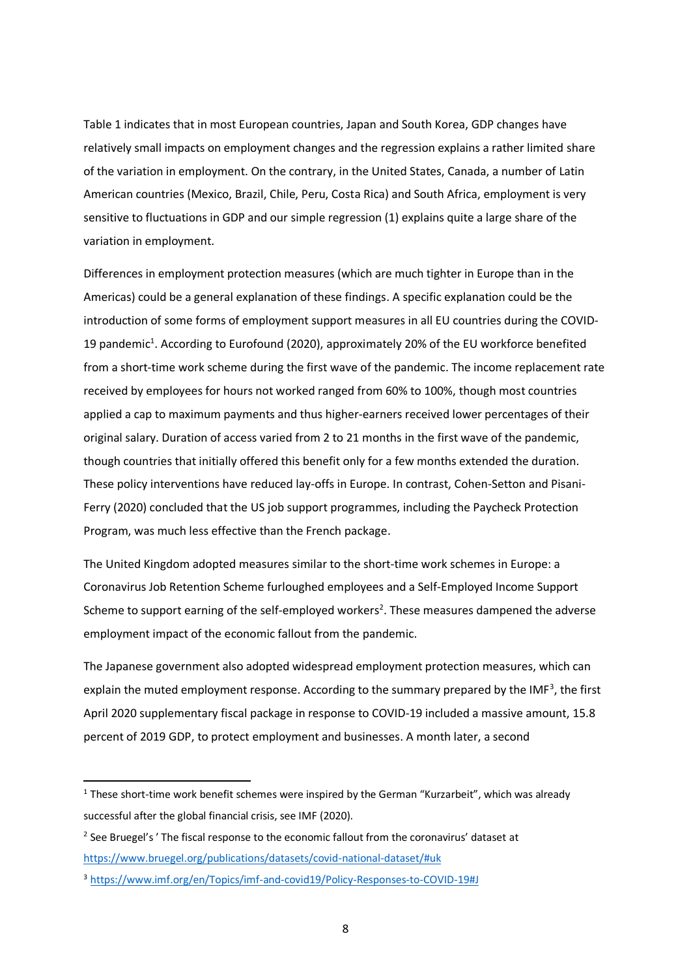Table 1 indicates that in most European countries, Japan and South Korea, GDP changes have relatively small impacts on employment changes and the regression explains a rather limited share of the variation in employment. On the contrary, in the United States, Canada, a number of Latin American countries (Mexico, Brazil, Chile, Peru, Costa Rica) and South Africa, employment is very sensitive to fluctuations in GDP and our simple regression (1) explains quite a large share of the variation in employment.

Differences in employment protection measures (which are much tighter in Europe than in the Americas) could be a general explanation of these findings. A specific explanation could be the introduction of some forms of employment support measures in all EU countries during the COVID-19 pandemic<sup>1</sup>. According to Eurofound (2020), approximately 20% of the EU workforce benefited from a short-time work scheme during the first wave of the pandemic. The income replacement rate received by employees for hours not worked ranged from 60% to 100%, though most countries applied a cap to maximum payments and thus higher-earners received lower percentages of their original salary. Duration of access varied from 2 to 21 months in the first wave of the pandemic, though countries that initially offered this benefit only for a few months extended the duration. These policy interventions have reduced lay-offs in Europe. In contrast, Cohen-Setton and Pisani-Ferry (2020) concluded that the US job support programmes, including the Paycheck Protection Program, was much less effective than the French package.

The United Kingdom adopted measures similar to the short-time work schemes in Europe: a Coronavirus Job Retention Scheme furloughed employees and a Self-Employed Income Support Scheme to support earning of the self-employed workers<sup>2</sup>. These measures dampened the adverse employment impact of the economic fallout from the pandemic.

The Japanese government also adopted widespread employment protection measures, which can explain the muted employment response. According to the summary prepared by the IMF<sup>3</sup>, the first April 2020 supplementary fiscal package in response to COVID-19 included a massive amount, 15.8 percent of 2019 GDP, to protect employment and businesses. A month later, a second

 $1$  These short-time work benefit schemes were inspired by the German "Kurzarbeit", which was already successful after the global financial crisis, see IMF (2020).

<sup>&</sup>lt;sup>2</sup> See Bruegel's ' The fiscal response to the economic fallout from the coronavirus' dataset at <https://www.bruegel.org/publications/datasets/covid-national-dataset/#uk>

<sup>3</sup> <https://www.imf.org/en/Topics/imf-and-covid19/Policy-Responses-to-COVID-19#J>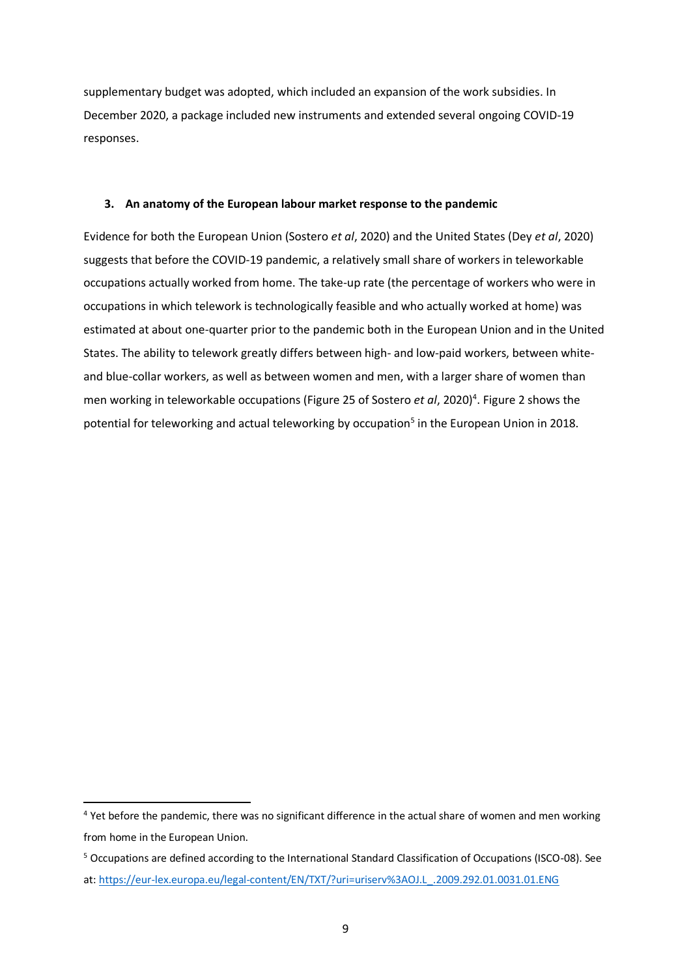supplementary budget was adopted, which included an expansion of the work subsidies. In December 2020, a package included new instruments and extended several ongoing COVID-19 responses.

### **3. An anatomy of the European labour market response to the pandemic**

Evidence for both the European Union (Sostero *et al*, 2020) and the United States (Dey *et al*, 2020) suggests that before the COVID-19 pandemic, a relatively small share of workers in teleworkable occupations actually worked from home. The take-up rate (the percentage of workers who were in occupations in which telework is technologically feasible and who actually worked at home) was estimated at about one-quarter prior to the pandemic both in the European Union and in the United States. The ability to telework greatly differs between high- and low-paid workers, between whiteand blue-collar workers, as well as between women and men, with a larger share of women than men working in teleworkable occupations (Figure 25 of Sostero *et al*, 2020)<sup>4</sup>. [Figure 2](#page-9-0) shows the potential for teleworking and actual teleworking by occupation<sup>5</sup> in the European Union in 2018.

<sup>&</sup>lt;sup>4</sup> Yet before the pandemic, there was no significant difference in the actual share of women and men working from home in the European Union.

<sup>5</sup> Occupations are defined according to the International Standard Classification of Occupations (ISCO-08). See at: [https://eur-lex.europa.eu/legal-content/EN/TXT/?uri=uriserv%3AOJ.L\\_.2009.292.01.0031.01.ENG](https://eur-lex.europa.eu/legal-content/EN/TXT/?uri=uriserv%3AOJ.L_.2009.292.01.0031.01.ENG)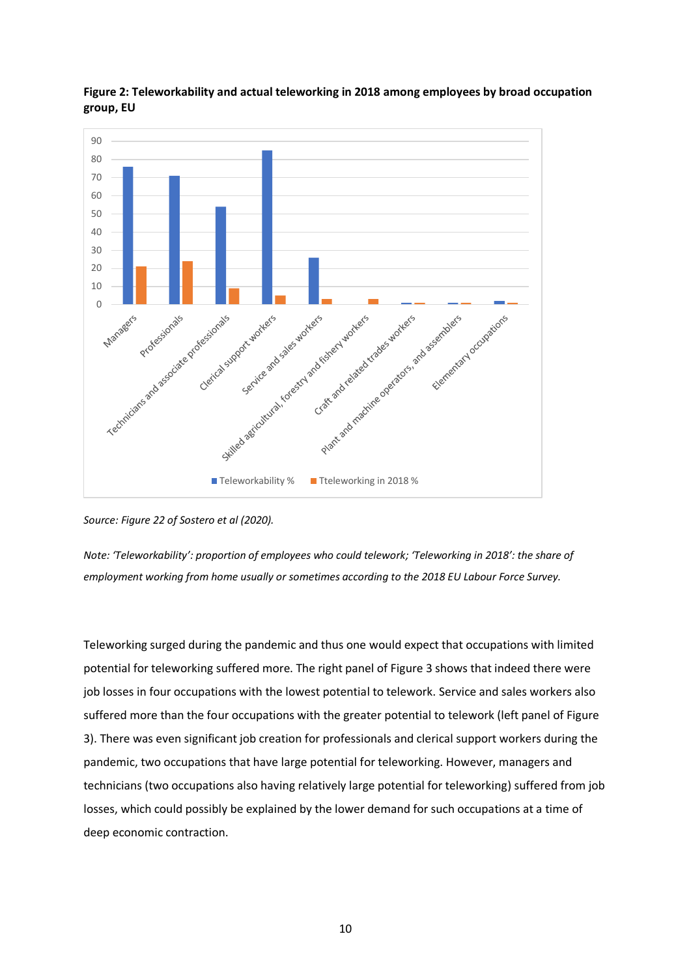

<span id="page-9-0"></span>

*Note: 'Teleworkability': proportion of employees who could telework; 'Teleworking in 2018': the share of employment working from home usually or sometimes according to the 2018 EU Labour Force Survey.*

Teleworking surged during the pandemic and thus one would expect that occupations with limited potential for teleworking suffered more. The right panel o[f Figure 3](#page-10-0) shows that indeed there were job losses in four occupations with the lowest potential to telework. Service and sales workers also suffered more than the four occupations with the greater potential to telework (left panel of [Figure](#page-10-0)  [3\)](#page-10-0). There was even significant job creation for professionals and clerical support workers during the pandemic, two occupations that have large potential for teleworking. However, managers and technicians (two occupations also having relatively large potential for teleworking) suffered from job losses, which could possibly be explained by the lower demand for such occupations at a time of deep economic contraction.

*Source: Figure 22 of Sostero et al (2020).*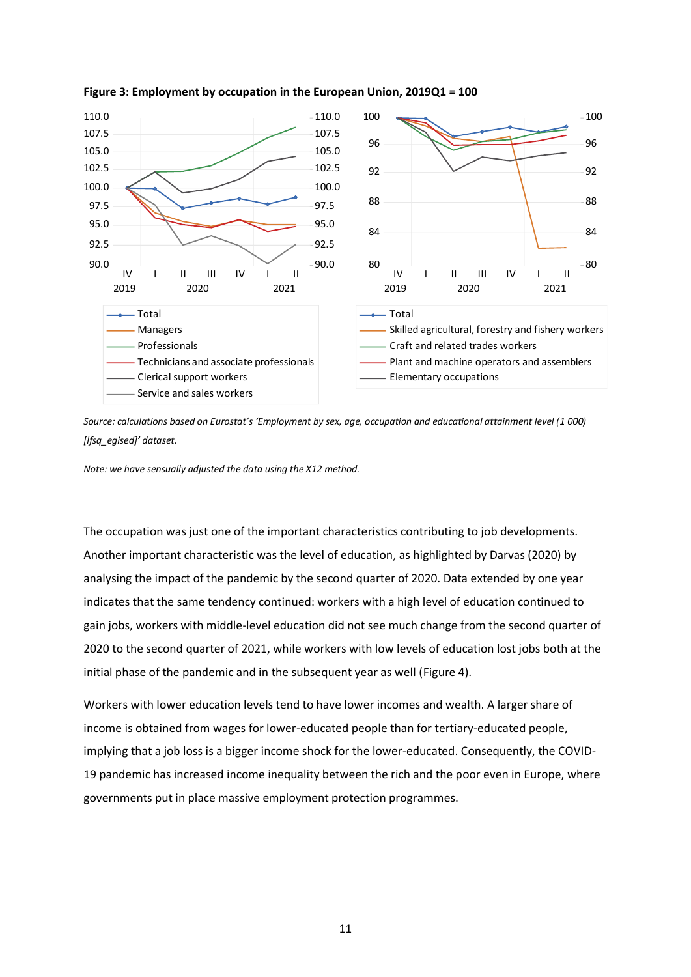

### <span id="page-10-0"></span>**Figure 3: Employment by occupation in the European Union, 2019Q1 = 100**

*Source: calculations based on Eurostat's 'Employment by sex, age, occupation and educational attainment level (1 000) [lfsq\_egised]' dataset.*

*Note: we have sensually adjusted the data using the X12 method.*

The occupation was just one of the important characteristics contributing to job developments. Another important characteristic was the level of education, as highlighted by Darvas (2020) by analysing the impact of the pandemic by the second quarter of 2020. Data extended by one year indicates that the same tendency continued: workers with a high level of education continued to gain jobs, workers with middle-level education did not see much change from the second quarter of 2020 to the second quarter of 2021, while workers with low levels of education lost jobs both at the initial phase of the pandemic and in the subsequent year as well [\(Figure 4\)](#page-11-0).

Workers with lower education levels tend to have lower incomes and wealth. A larger share of income is obtained from wages for lower-educated people than for tertiary-educated people, implying that a job loss is a bigger income shock for the lower-educated. Consequently, the COVID-19 pandemic has increased income inequality between the rich and the poor even in Europe, where governments put in place massive employment protection programmes.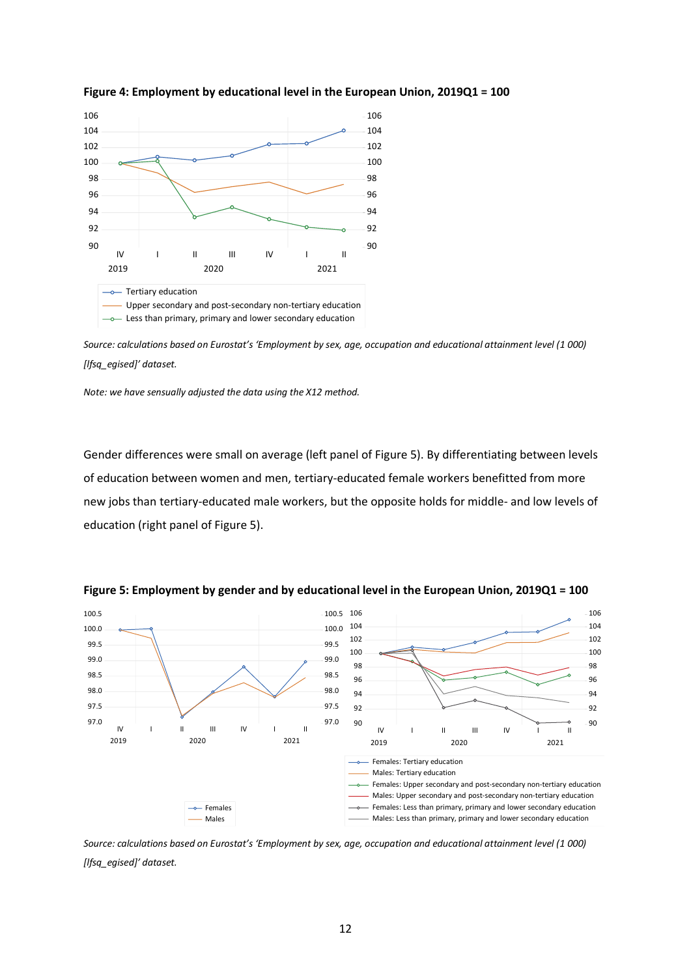

## <span id="page-11-0"></span>**Figure 4: Employment by educational level in the European Union, 2019Q1 = 100**

*Source: calculations based on Eurostat's 'Employment by sex, age, occupation and educational attainment level (1 000) [lfsq\_egised]' dataset.*

*Note: we have sensually adjusted the data using the X12 method.*

Gender differences were small on average (left panel of [Figure 5\)](#page-11-1). By differentiating between levels of education between women and men, tertiary-educated female workers benefitted from more new jobs than tertiary-educated male workers, but the opposite holds for middle- and low levels of education (right panel of [Figure 5\)](#page-11-1).



<span id="page-11-1"></span>**Figure 5: Employment by gender and by educational level in the European Union, 2019Q1 = 100**

*Source: calculations based on Eurostat's 'Employment by sex, age, occupation and educational attainment level (1 000) [lfsq\_egised]' dataset.*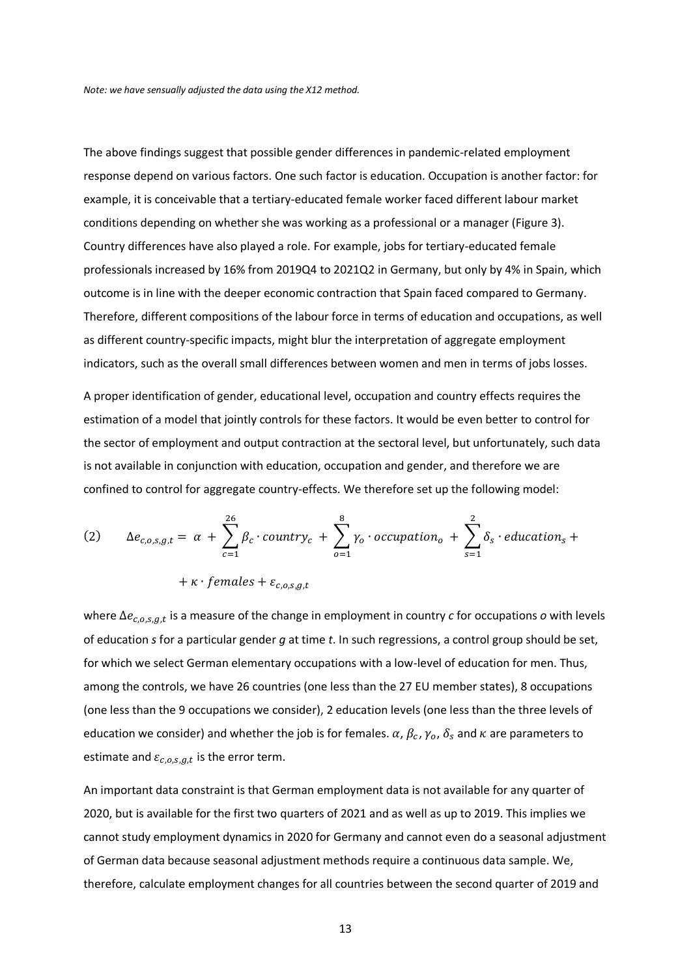The above findings suggest that possible gender differences in pandemic-related employment response depend on various factors. One such factor is education. Occupation is another factor: for example, it is conceivable that a tertiary-educated female worker faced different labour market conditions depending on whether she was working as a professional or a manager [\(Figure 3\)](#page-10-0). Country differences have also played a role. For example, jobs for tertiary-educated female professionals increased by 16% from 2019Q4 to 2021Q2 in Germany, but only by 4% in Spain, which outcome is in line with the deeper economic contraction that Spain faced compared to Germany. Therefore, different compositions of the labour force in terms of education and occupations, as well as different country-specific impacts, might blur the interpretation of aggregate employment indicators, such as the overall small differences between women and men in terms of jobs losses.

A proper identification of gender, educational level, occupation and country effects requires the estimation of a model that jointly controls for these factors. It would be even better to control for the sector of employment and output contraction at the sectoral level, but unfortunately, such data is not available in conjunction with education, occupation and gender, and therefore we are confined to control for aggregate country-effects. We therefore set up the following model:

(2) 
$$
\Delta e_{c,o,s,g,t} = \alpha + \sum_{c=1}^{26} \beta_c \cdot country_c + \sum_{o=1}^{8} \gamma_o \cdot occupation_o + \sum_{s=1}^{2} \delta_s \cdot education_s +
$$

# + $\kappa$  · females +  $\varepsilon_{c,o,s,g,t}$

where  $\Delta e_{c,o,s,g,t}$  is a measure of the change in employment in country *c* for occupations *o* with levels of education *s* for a particular gender *g* at time *t*. In such regressions, a control group should be set, for which we select German elementary occupations with a low-level of education for men. Thus, among the controls, we have 26 countries (one less than the 27 EU member states), 8 occupations (one less than the 9 occupations we consider), 2 education levels (one less than the three levels of education we consider) and whether the job is for females.  $\alpha$ ,  $\beta_c$ ,  $\gamma_o$ ,  $\delta_s$  and  $\kappa$  are parameters to estimate and  $\varepsilon_{c,o,s,g,t}$  is the error term.

An important data constraint is that German employment data is not available for any quarter of 2020, but is available for the first two quarters of 2021 and as well as up to 2019. This implies we cannot study employment dynamics in 2020 for Germany and cannot even do a seasonal adjustment of German data because seasonal adjustment methods require a continuous data sample. We, therefore, calculate employment changes for all countries between the second quarter of 2019 and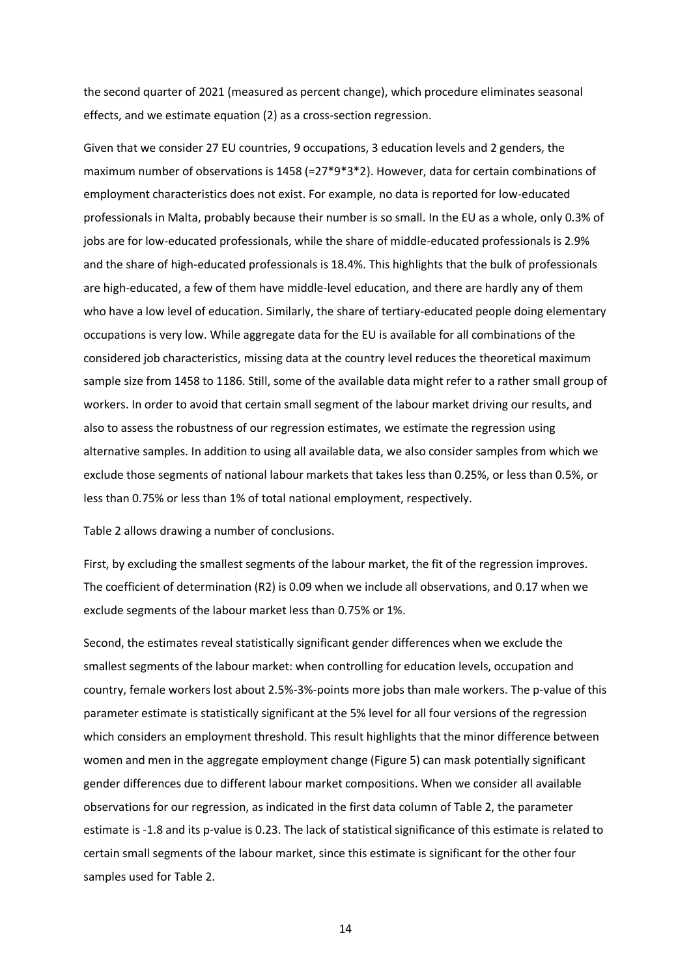the second quarter of 2021 (measured as percent change), which procedure eliminates seasonal effects, and we estimate equation (2) as a cross-section regression.

Given that we consider 27 EU countries, 9 occupations, 3 education levels and 2 genders, the maximum number of observations is 1458 (=27\*9\*3\*2). However, data for certain combinations of employment characteristics does not exist. For example, no data is reported for low-educated professionals in Malta, probably because their number is so small. In the EU as a whole, only 0.3% of jobs are for low-educated professionals, while the share of middle-educated professionals is 2.9% and the share of high-educated professionals is 18.4%. This highlights that the bulk of professionals are high-educated, a few of them have middle-level education, and there are hardly any of them who have a low level of education. Similarly, the share of tertiary-educated people doing elementary occupations is very low. While aggregate data for the EU is available for all combinations of the considered job characteristics, missing data at the country level reduces the theoretical maximum sample size from 1458 to 1186. Still, some of the available data might refer to a rather small group of workers. In order to avoid that certain small segment of the labour market driving our results, and also to assess the robustness of our regression estimates, we estimate the regression using alternative samples. In addition to using all available data, we also consider samples from which we exclude those segments of national labour markets that takes less than 0.25%, or less than 0.5%, or less than 0.75% or less than 1% of total national employment, respectively.

Table 2 allows drawing a number of conclusions.

First, by excluding the smallest segments of the labour market, the fit of the regression improves. The coefficient of determination (R2) is 0.09 when we include all observations, and 0.17 when we exclude segments of the labour market less than 0.75% or 1%.

Second, the estimates reveal statistically significant gender differences when we exclude the smallest segments of the labour market: when controlling for education levels, occupation and country, female workers lost about 2.5%-3%-points more jobs than male workers. The p-value of this parameter estimate is statistically significant at the 5% level for all four versions of the regression which considers an employment threshold. This result highlights that the minor difference between women and men in the aggregate employment change [\(Figure 5\)](#page-11-1) can mask potentially significant gender differences due to different labour market compositions. When we consider all available observations for our regression, as indicated in the first data column of Table 2, the parameter estimate is -1.8 and its p-value is 0.23. The lack of statistical significance of this estimate is related to certain small segments of the labour market, since this estimate is significant for the other four samples used for Table 2.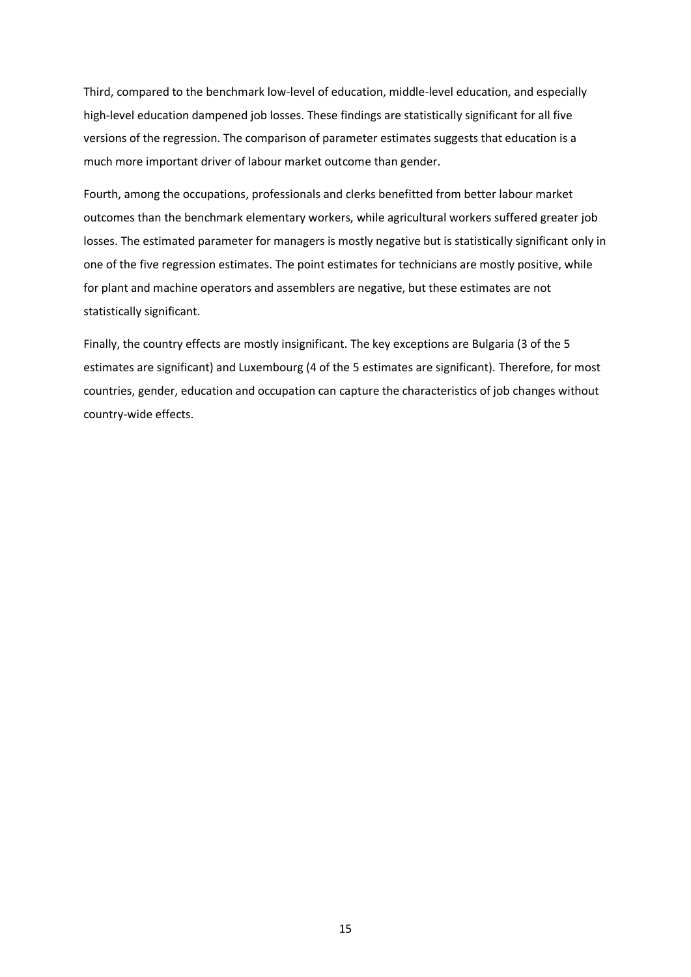Third, compared to the benchmark low-level of education, middle-level education, and especially high-level education dampened job losses. These findings are statistically significant for all five versions of the regression. The comparison of parameter estimates suggests that education is a much more important driver of labour market outcome than gender.

Fourth, among the occupations, professionals and clerks benefitted from better labour market outcomes than the benchmark elementary workers, while agricultural workers suffered greater job losses. The estimated parameter for managers is mostly negative but is statistically significant only in one of the five regression estimates. The point estimates for technicians are mostly positive, while for plant and machine operators and assemblers are negative, but these estimates are not statistically significant.

Finally, the country effects are mostly insignificant. The key exceptions are Bulgaria (3 of the 5 estimates are significant) and Luxembourg (4 of the 5 estimates are significant). Therefore, for most countries, gender, education and occupation can capture the characteristics of job changes without country-wide effects.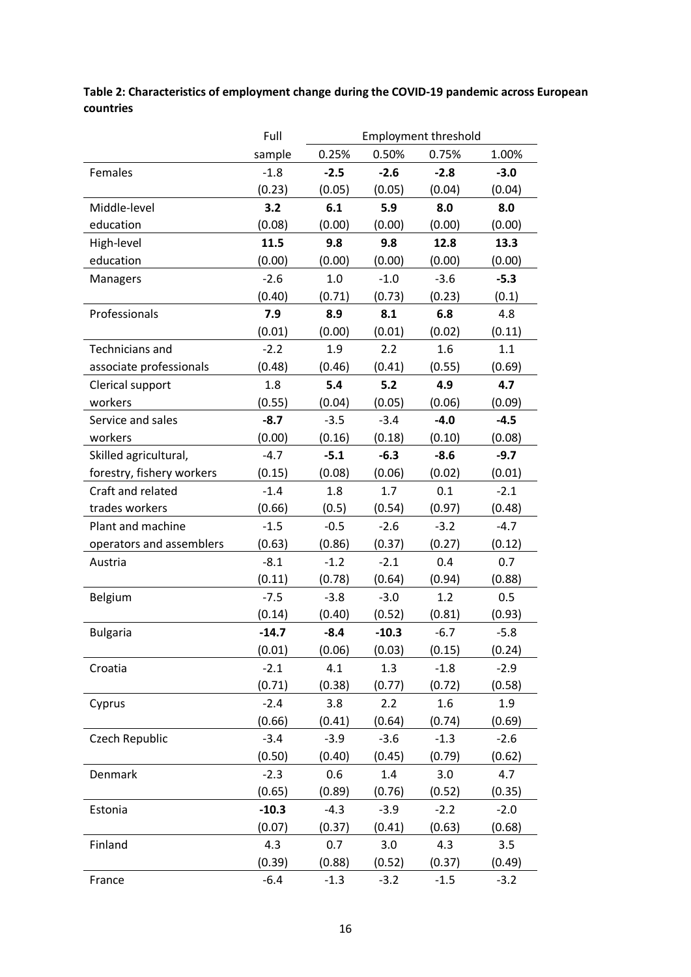**Table 2: Characteristics of employment change during the COVID-19 pandemic across European countries**

|                           | Full    | <b>Employment threshold</b> |         |        |        |  |  |
|---------------------------|---------|-----------------------------|---------|--------|--------|--|--|
|                           | sample  | 0.25%                       | 0.50%   | 0.75%  | 1.00%  |  |  |
| Females                   | $-1.8$  | $-2.5$                      | $-2.6$  | $-2.8$ | $-3.0$ |  |  |
|                           | (0.23)  | (0.05)                      | (0.05)  | (0.04) | (0.04) |  |  |
| Middle-level              | 3.2     | 6.1                         | 5.9     | 8.0    | 8.0    |  |  |
| education                 | (0.08)  | (0.00)                      | (0.00)  | (0.00) | (0.00) |  |  |
| High-level                | 11.5    | 9.8                         | 9.8     | 12.8   | 13.3   |  |  |
| education                 | (0.00)  | (0.00)                      | (0.00)  | (0.00) | (0.00) |  |  |
| Managers                  | $-2.6$  | 1.0                         | $-1.0$  | $-3.6$ | $-5.3$ |  |  |
|                           | (0.40)  | (0.71)                      | (0.73)  | (0.23) | (0.1)  |  |  |
| Professionals             | 7.9     | 8.9                         | 8.1     | 6.8    | 4.8    |  |  |
|                           | (0.01)  | (0.00)                      | (0.01)  | (0.02) | (0.11) |  |  |
| <b>Technicians and</b>    | $-2.2$  | 1.9                         | 2.2     | 1.6    | 1.1    |  |  |
| associate professionals   | (0.48)  | (0.46)                      | (0.41)  | (0.55) | (0.69) |  |  |
| Clerical support          | 1.8     | 5.4                         | 5.2     | 4.9    | 4.7    |  |  |
| workers                   | (0.55)  | (0.04)                      | (0.05)  | (0.06) | (0.09) |  |  |
| Service and sales         | $-8.7$  | $-3.5$                      | $-3.4$  | $-4.0$ | $-4.5$ |  |  |
| workers                   | (0.00)  | (0.16)                      | (0.18)  | (0.10) | (0.08) |  |  |
| Skilled agricultural,     | $-4.7$  | $-5.1$                      | $-6.3$  | $-8.6$ | $-9.7$ |  |  |
| forestry, fishery workers | (0.15)  | (0.08)                      | (0.06)  | (0.02) | (0.01) |  |  |
| Craft and related         | $-1.4$  | 1.8                         | 1.7     | 0.1    | $-2.1$ |  |  |
| trades workers            | (0.66)  | (0.5)                       | (0.54)  | (0.97) | (0.48) |  |  |
| Plant and machine         | $-1.5$  | $-0.5$                      | $-2.6$  | $-3.2$ | $-4.7$ |  |  |
| operators and assemblers  | (0.63)  | (0.86)                      | (0.37)  | (0.27) | (0.12) |  |  |
| Austria                   | $-8.1$  | $-1.2$                      | $-2.1$  | 0.4    | 0.7    |  |  |
|                           | (0.11)  | (0.78)                      | (0.64)  | (0.94) | (0.88) |  |  |
| Belgium                   | $-7.5$  | $-3.8$                      | $-3.0$  | 1.2    | 0.5    |  |  |
|                           | (0.14)  | (0.40)                      | (0.52)  | (0.81) | (0.93) |  |  |
| <b>Bulgaria</b>           | $-14.7$ | $-8.4$                      | $-10.3$ | $-6.7$ | $-5.8$ |  |  |
|                           | (0.01)  | (0.06)                      | (0.03)  | (0.15) | (0.24) |  |  |
| Croatia                   | $-2.1$  | 4.1                         | 1.3     | $-1.8$ | $-2.9$ |  |  |
|                           | (0.71)  | (0.38)                      | (0.77)  | (0.72) | (0.58) |  |  |
| Cyprus                    | $-2.4$  | 3.8                         | 2.2     | 1.6    | 1.9    |  |  |
|                           | (0.66)  | (0.41)                      | (0.64)  | (0.74) | (0.69) |  |  |
| Czech Republic            | $-3.4$  | $-3.9$                      | $-3.6$  | $-1.3$ | $-2.6$ |  |  |
|                           | (0.50)  | (0.40)                      | (0.45)  | (0.79) | (0.62) |  |  |
| Denmark                   | $-2.3$  | 0.6                         | 1.4     | 3.0    | 4.7    |  |  |
|                           | (0.65)  | (0.89)                      | (0.76)  | (0.52) | (0.35) |  |  |
| Estonia                   | $-10.3$ | $-4.3$                      | $-3.9$  | $-2.2$ | $-2.0$ |  |  |
|                           | (0.07)  | (0.37)                      | (0.41)  | (0.63) | (0.68) |  |  |
| Finland                   | 4.3     | 0.7                         | 3.0     | 4.3    | 3.5    |  |  |
|                           | (0.39)  | (0.88)                      | (0.52)  | (0.37) | (0.49) |  |  |
| France                    | $-6.4$  | $-1.3$                      | $-3.2$  | $-1.5$ | $-3.2$ |  |  |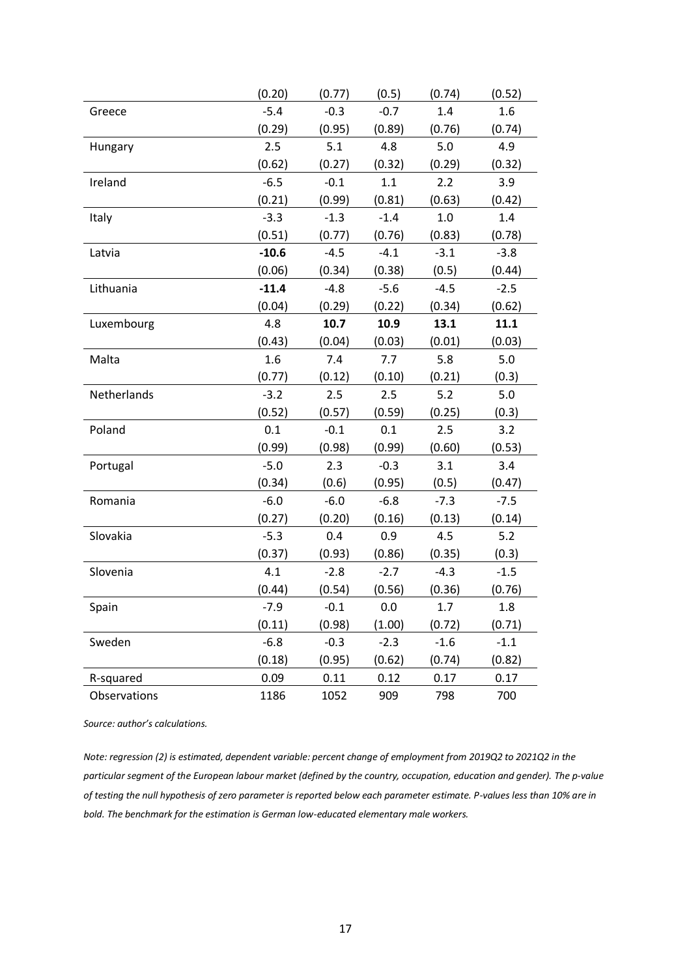|              | (0.20)  | (0.77) | (0.5)  | (0.74) | (0.52) |
|--------------|---------|--------|--------|--------|--------|
| Greece       | $-5.4$  | $-0.3$ | $-0.7$ | 1.4    | 1.6    |
|              | (0.29)  | (0.95) | (0.89) | (0.76) | (0.74) |
| Hungary      | 2.5     | 5.1    | 4.8    | 5.0    | 4.9    |
|              | (0.62)  | (0.27) | (0.32) | (0.29) | (0.32) |
| Ireland      | $-6.5$  | $-0.1$ | 1.1    | 2.2    | 3.9    |
|              | (0.21)  | (0.99) | (0.81) | (0.63) | (0.42) |
| Italy        | $-3.3$  | $-1.3$ | $-1.4$ | 1.0    | 1.4    |
|              | (0.51)  | (0.77) | (0.76) | (0.83) | (0.78) |
| Latvia       | $-10.6$ | $-4.5$ | $-4.1$ | $-3.1$ | $-3.8$ |
|              | (0.06)  | (0.34) | (0.38) | (0.5)  | (0.44) |
| Lithuania    | $-11.4$ | $-4.8$ | $-5.6$ | $-4.5$ | $-2.5$ |
|              | (0.04)  | (0.29) | (0.22) | (0.34) | (0.62) |
| Luxembourg   | 4.8     | 10.7   | 10.9   | 13.1   | 11.1   |
|              | (0.43)  | (0.04) | (0.03) | (0.01) | (0.03) |
| Malta        | 1.6     | 7.4    | 7.7    | 5.8    | 5.0    |
|              | (0.77)  | (0.12) | (0.10) | (0.21) | (0.3)  |
| Netherlands  | $-3.2$  | 2.5    | 2.5    | 5.2    | 5.0    |
|              | (0.52)  | (0.57) | (0.59) | (0.25) | (0.3)  |
| Poland       | 0.1     | $-0.1$ | 0.1    | 2.5    | 3.2    |
|              | (0.99)  | (0.98) | (0.99) | (0.60) | (0.53) |
| Portugal     | $-5.0$  | 2.3    | $-0.3$ | 3.1    | 3.4    |
|              | (0.34)  | (0.6)  | (0.95) | (0.5)  | (0.47) |
| Romania      | $-6.0$  | $-6.0$ | $-6.8$ | $-7.3$ | $-7.5$ |
|              | (0.27)  | (0.20) | (0.16) | (0.13) | (0.14) |
| Slovakia     | $-5.3$  | 0.4    | 0.9    | 4.5    | 5.2    |
|              | (0.37)  | (0.93) | (0.86) | (0.35) | (0.3)  |
| Slovenia     | 4.1     | $-2.8$ | $-2.7$ | $-4.3$ | $-1.5$ |
|              | (0.44)  | (0.54) | (0.56) | (0.36) | (0.76) |
| Spain        | $-7.9$  | $-0.1$ | 0.0    | 1.7    | 1.8    |
|              | (0.11)  | (0.98) | (1.00) | (0.72) | (0.71) |
| Sweden       | $-6.8$  | $-0.3$ | $-2.3$ | $-1.6$ | $-1.1$ |
|              | (0.18)  | (0.95) | (0.62) | (0.74) | (0.82) |
| R-squared    | 0.09    | 0.11   | 0.12   | 0.17   | 0.17   |
| Observations | 1186    | 1052   | 909    | 798    | 700    |

*Source: author's calculations.*

*Note: regression (2) is estimated, dependent variable: percent change of employment from 2019Q2 to 2021Q2 in the particular segment of the European labour market (defined by the country, occupation, education and gender). The p-value of testing the null hypothesis of zero parameter is reported below each parameter estimate. P-values less than 10% are in bold. The benchmark for the estimation is German low-educated elementary male workers.*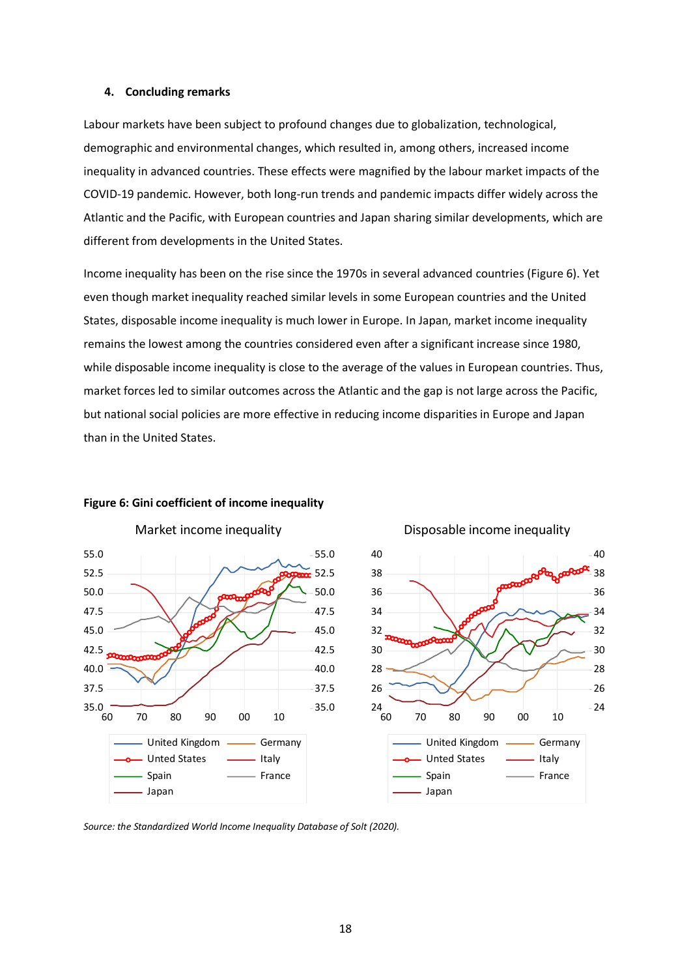### **4. Concluding remarks**

Labour markets have been subject to profound changes due to globalization, technological, demographic and environmental changes, which resulted in, among others, increased income inequality in advanced countries. These effects were magnified by the labour market impacts of the COVID-19 pandemic. However, both long-run trends and pandemic impacts differ widely across the Atlantic and the Pacific, with European countries and Japan sharing similar developments, which are different from developments in the United States.

Income inequality has been on the rise since the 1970s in several advanced countries [\(Figure 6\)](#page-17-0). Yet even though market inequality reached similar levels in some European countries and the United States, disposable income inequality is much lower in Europe. In Japan, market income inequality remains the lowest among the countries considered even after a significant increase since 1980, while disposable income inequality is close to the average of the values in European countries. Thus, market forces led to similar outcomes across the Atlantic and the gap is not large across the Pacific, but national social policies are more effective in reducing income disparities in Europe and Japan than in the United States.



### <span id="page-17-0"></span>**Figure 6: Gini coefficient of income inequality**



Disposable income inequality

*Source: the Standardized World Income Inequality Database of Solt (2020).*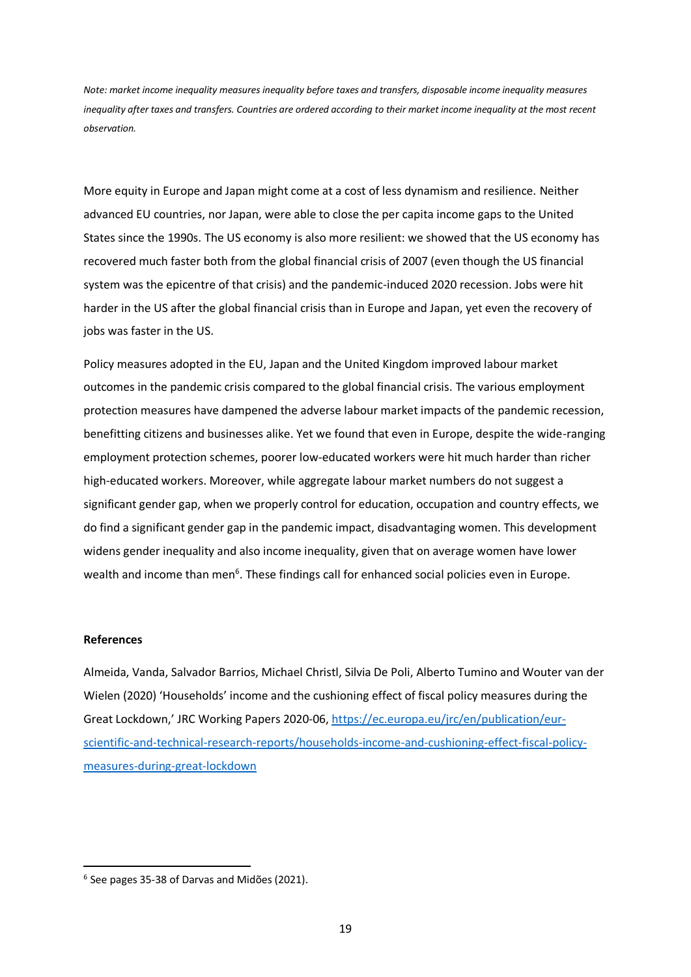*Note: market income inequality measures inequality before taxes and transfers, disposable income inequality measures inequality after taxes and transfers. Countries are ordered according to their market income inequality at the most recent observation.*

More equity in Europe and Japan might come at a cost of less dynamism and resilience. Neither advanced EU countries, nor Japan, were able to close the per capita income gaps to the United States since the 1990s. The US economy is also more resilient: we showed that the US economy has recovered much faster both from the global financial crisis of 2007 (even though the US financial system was the epicentre of that crisis) and the pandemic-induced 2020 recession. Jobs were hit harder in the US after the global financial crisis than in Europe and Japan, yet even the recovery of jobs was faster in the US.

Policy measures adopted in the EU, Japan and the United Kingdom improved labour market outcomes in the pandemic crisis compared to the global financial crisis. The various employment protection measures have dampened the adverse labour market impacts of the pandemic recession, benefitting citizens and businesses alike. Yet we found that even in Europe, despite the wide-ranging employment protection schemes, poorer low-educated workers were hit much harder than richer high-educated workers. Moreover, while aggregate labour market numbers do not suggest a significant gender gap, when we properly control for education, occupation and country effects, we do find a significant gender gap in the pandemic impact, disadvantaging women. This development widens gender inequality and also income inequality, given that on average women have lower wealth and income than men<sup>6</sup>. These findings call for enhanced social policies even in Europe.

### **References**

Almeida, Vanda, Salvador Barrios, Michael Christl, Silvia De Poli, Alberto Tumino and Wouter van der Wielen (2020) 'Households' income and the cushioning effect of fiscal policy measures during the Great Lockdown,' JRC Working Papers 2020-06, [https://ec.europa.eu/jrc/en/publication/eur](https://ec.europa.eu/jrc/en/publication/eur-scientific-and-technical-research-reports/households-income-and-cushioning-effect-fiscal-policy-measures-during-great-lockdown)[scientific-and-technical-research-reports/households-income-and-cushioning-effect-fiscal-policy](https://ec.europa.eu/jrc/en/publication/eur-scientific-and-technical-research-reports/households-income-and-cushioning-effect-fiscal-policy-measures-during-great-lockdown)[measures-during-great-lockdown](https://ec.europa.eu/jrc/en/publication/eur-scientific-and-technical-research-reports/households-income-and-cushioning-effect-fiscal-policy-measures-during-great-lockdown)

<sup>6</sup> See pages 35-38 of Darvas and Midões (2021).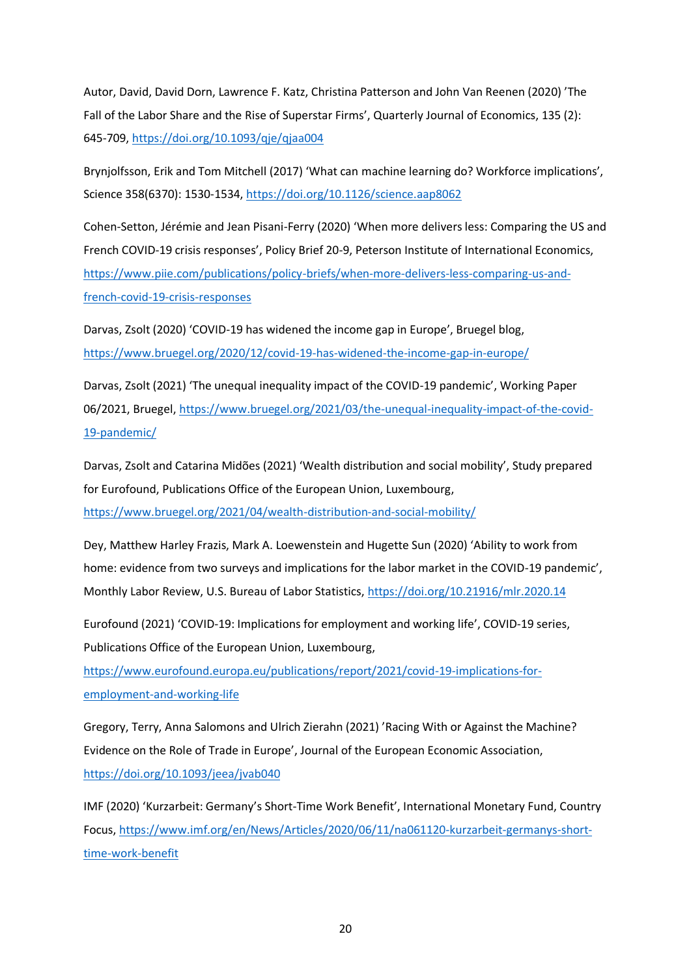Autor, David, David Dorn, Lawrence F. Katz, Christina Patterson and John Van Reenen (2020) 'The Fall of the Labor Share and the Rise of Superstar Firms', Quarterly Journal of Economics, 135 (2): 645-709,<https://doi.org/10.1093/qje/qjaa004>

Brynjolfsson, Erik and Tom Mitchell (2017) 'What can machine learning do? Workforce implications', Science 358(6370): 1530-1534,<https://doi.org/10.1126/science.aap8062>

Cohen-Setton, Jérémie and Jean Pisani-Ferry (2020) 'When more delivers less: Comparing the US and French COVID-19 crisis responses', Policy Brief 20-9, Peterson Institute of International Economics, [https://www.piie.com/publications/policy-briefs/when-more-delivers-less-comparing-us-and](https://www.piie.com/publications/policy-briefs/when-more-delivers-less-comparing-us-and-french-covid-19-crisis-responses)[french-covid-19-crisis-responses](https://www.piie.com/publications/policy-briefs/when-more-delivers-less-comparing-us-and-french-covid-19-crisis-responses)

Darvas, Zsolt (2020) 'COVID-19 has widened the income gap in Europe', Bruegel blog, <https://www.bruegel.org/2020/12/covid-19-has-widened-the-income-gap-in-europe/>

Darvas, Zsolt (2021) 'The unequal inequality impact of the COVID-19 pandemic', Working Paper 06/2021, Bruegel[, https://www.bruegel.org/2021/03/the-unequal-inequality-impact-of-the-covid-](https://www.bruegel.org/2021/03/the-unequal-inequality-impact-of-the-covid-19-pandemic/)[19-pandemic/](https://www.bruegel.org/2021/03/the-unequal-inequality-impact-of-the-covid-19-pandemic/)

Darvas, Zsolt and Catarina Midões (2021) 'Wealth distribution and social mobility', Study prepared for Eurofound, Publications Office of the European Union, Luxembourg, <https://www.bruegel.org/2021/04/wealth-distribution-and-social-mobility/>

Dey, Matthew Harley Frazis, Mark A. Loewenstein and Hugette Sun (2020) 'Ability to work from home: evidence from two surveys and implications for the labor market in the COVID-19 pandemic', Monthly Labor Review, U.S. Bureau of Labor Statistics,<https://doi.org/10.21916/mlr.2020.14>

Eurofound (2021) 'COVID-19: Implications for employment and working life', COVID-19 series, Publications Office of the European Union, Luxembourg,

[https://www.eurofound.europa.eu/publications/report/2021/covid-19-implications-for](https://www.eurofound.europa.eu/publications/report/2021/covid-19-implications-for-employment-and-working-life)[employment-and-working-life](https://www.eurofound.europa.eu/publications/report/2021/covid-19-implications-for-employment-and-working-life)

Gregory, Terry, Anna Salomons and Ulrich Zierahn (2021) 'Racing With or Against the Machine? Evidence on the Role of Trade in Europe', Journal of the European Economic Association, <https://doi.org/10.1093/jeea/jvab040>

IMF (2020) 'Kurzarbeit: Germany's Short-Time Work Benefit', International Monetary Fund, Country Focus, [https://www.imf.org/en/News/Articles/2020/06/11/na061120-kurzarbeit-germanys-short](https://www.imf.org/en/News/Articles/2020/06/11/na061120-kurzarbeit-germanys-short-time-work-benefit)[time-work-benefit](https://www.imf.org/en/News/Articles/2020/06/11/na061120-kurzarbeit-germanys-short-time-work-benefit)